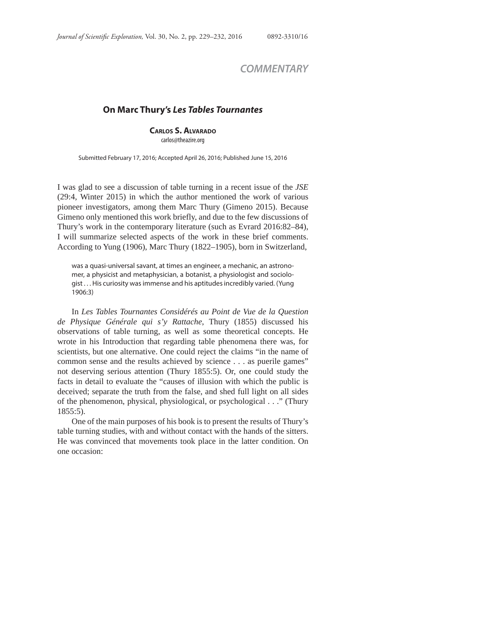## *COMMENTARY*

## **On Marc Thury's** *Les Tables Tournantes*

**CARLOS S. ALVARADO**

carlos@theazire.org

Submitted February 17, 2016; Accepted April 26, 2016; Published June 15, 2016

I was glad to see a discussion of table turning in a recent issue of the *JSE* (29:4, Winter 2015) in which the author mentioned the work of various pioneer investigators, among them Marc Thury (Gimeno 2015). Because Gimeno only mentioned this work briefly, and due to the few discussions of Thury's work in the contemporary literature (such as Evrard 2016:82–84), I will summarize selected aspects of the work in these brief comments. According to Yung (1906), Marc Thury (1822–1905), born in Switzerland,

was a quasi-universal savant, at times an engineer, a mechanic, an astronomer, a physicist and metaphysician, a botanist, a physiologist and sociologist . . . His curiosity was immense and his aptitudes incredibly varied. (Yung 1906:3)

In *Les Tables Tournantes Considérés au Point de Vue de la Question de Physique Générale qui s'y Rattache*, Thury (1855) discussed his observations of table turning, as well as some theoretical concepts. He wrote in his Introduction that regarding table phenomena there was, for scientists, but one alternative. One could reject the claims "in the name of common sense and the results achieved by science . . . as puerile games" not deserving serious attention (Thury 1855:5). Or, one could study the facts in detail to evaluate the "causes of illusion with which the public is deceived; separate the truth from the false, and shed full light on all sides of the phenomenon, physical, physiological, or psychological . . ." (Thury 1855:5).

One of the main purposes of his book is to present the results of Thury's table turning studies, with and without contact with the hands of the sitters. He was convinced that movements took place in the latter condition. On one occasion: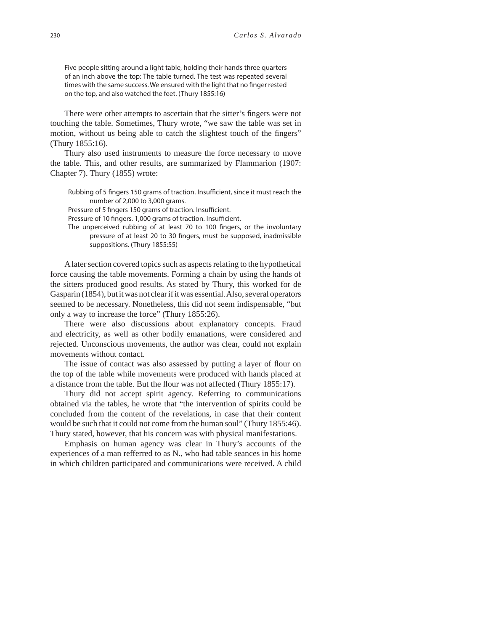Five people sitting around a light table, holding their hands three quarters of an inch above the top: The table turned. The test was repeated several times with the same success. We ensured with the light that no finger rested on the top, and also watched the feet. (Thury 1855:16)

There were other attempts to ascertain that the sitter's fingers were not touching the table. Sometimes, Thury wrote, "we saw the table was set in motion, without us being able to catch the slightest touch of the fingers" (Thury 1855:16).

Thury also used instruments to measure the force necessary to move the table. This, and other results, are summarized by Flammarion (1907: Chapter 7). Thury (1855) wrote:

Rubbing of 5 fingers 150 grams of traction. Insufficient, since it must reach the number of 2,000 to 3,000 grams.

Pressure of 5 fingers 150 grams of traction. Insufficient.

Pressure of 10 fingers. 1,000 grams of traction. Insufficient.

The unperceived rubbing of at least 70 to 100 fingers, or the involuntary pressure of at least 20 to 30 fingers, must be supposed, inadmissible suppositions. (Thury 1855:55)

A later section covered topics such as aspects relating to the hypothetical force causing the table movements. Forming a chain by using the hands of the sitters produced good results. As stated by Thury, this worked for de Gasparin (1854), but it was not clear if it was essential. Also, several operators seemed to be necessary. Nonetheless, this did not seem indispensable, "but only a way to increase the force" (Thury 1855:26).

There were also discussions about explanatory concepts. Fraud and electricity, as well as other bodily emanations, were considered and rejected. Unconscious movements, the author was clear, could not explain movements without contact.

The issue of contact was also assessed by putting a layer of flour on the top of the table while movements were produced with hands placed at a distance from the table. But the flour was not affected (Thury 1855:17).

Thury did not accept spirit agency. Referring to communications obtained via the tables, he wrote that "the intervention of spirits could be concluded from the content of the revelations, in case that their content would be such that it could not come from the human soul" (Thury 1855:46). Thury stated, however, that his concern was with physical manifestations.

Emphasis on human agency was clear in Thury's accounts of the experiences of a man refferred to as N., who had table seances in his home in which children participated and communications were received. A child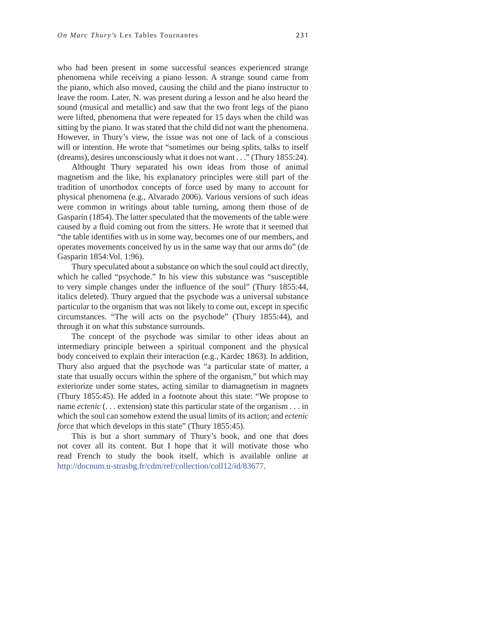who had been present in some successful seances experienced strange phenomena while receiving a piano lesson. A strange sound came from the piano, which also moved, causing the child and the piano instructor to leave the room. Later, N. was present during a lesson and he also heard the sound (musical and metallic) and saw that the two front legs of the piano were lifted, phenomena that were repeated for 15 days when the child was sitting by the piano. It was stated that the child did not want the phenomena. However, in Thury's view, the issue was not one of lack of a conscious will or intention. He wrote that "sometimes our being splits, talks to itself (dreams), desires unconsciously what it does not want . . ." (Thury 1855:24).

Althought Thury separated his own ideas from those of animal magnetism and the like, his explanatory principles were still part of the tradition of unorthodox concepts of force used by many to account for physical phenomena (e.g., Alvarado 2006). Various versions of such ideas were common in writings about table turning, among them those of de Gasparin (1854). The latter speculated that the movements of the table were caused by a fluid coming out from the sitters. He wrote that it seemed that "the table identifies with us in some way, becomes one of our members, and operates movements conceived by us in the same way that our arms do" (de Gasparin 1854:Vol. 1:96).

Thury speculated about a substance on which the soul could act directly, which he called "psychode." In his view this substance was "susceptible to very simple changes under the influence of the soul" (Thury 1855:44, italics deleted). Thury argued that the psychode was a universal substance particular to the organism that was not likely to come out, except in specific circumstances. "The will acts on the psychode" (Thury 1855:44), and through it on what this substance surrounds.

The concept of the psychode was similar to other ideas about an intermediary principle between a spiritual component and the physical body conceived to explain their interaction (e.g., Kardec 1863). In addition, Thury also argued that the psychode was "a particular state of matter, a state that usually occurs within the sphere of the organism," but which may exteriorize under some states, acting similar to diamagnetism in magnets (Thury 1855:45). He added in a footnote about this state: "We propose to name *ectenic* (. . . extension) state this particular state of the organism . . . in which the soul can somehow extend the usual limits of its action; and *ectenic force* that which develops in this state" (Thury 1855:45).

This is but a short summary of Thury's book, and one that does not cover all its content. But I hope that it will motivate those who read French to study the book itself, which is available online at http://docnum.u-strasbg.fr/cdm/ref/collection/coll12/id/83677.